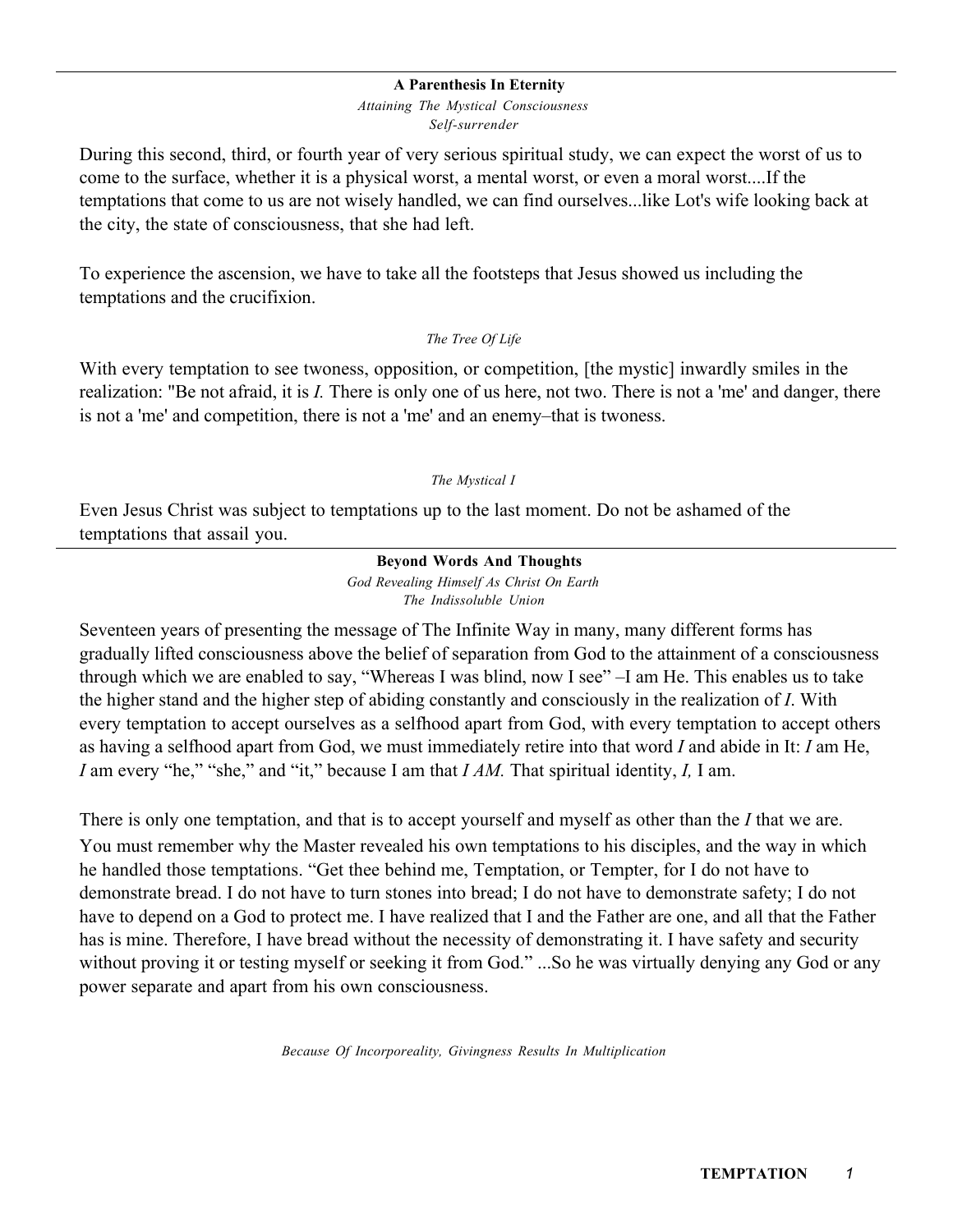#### A Parenthesis In Eternity

*Attaining The Mystical Consciousness Self-surrender*

During this second, third, or fourth year of very serious spiritual study, we can expect the worst of us to come to the surface, whether it is a physical worst, a mental worst, or even a moral worst....If the temptations that come to us are not wisely handled, we can find ourselves...like Lot's wife looking back at the city, the state of consciousness, that she had left.

To experience the ascension, we have to take all the footsteps that Jesus showed us including the temptations and the crucifixion.

### *The Tree Of Life*

With every temptation to see twoness, opposition, or competition, [the mystic] inwardly smiles in the realization: "Be not afraid, it is *I.* There is only one of us here, not two. There is not a 'me' and danger, there is not a 'me' and competition, there is not a 'me' and an enemy–that is twoness.

### *The Mystical I*

Even Jesus Christ was subject to temptations up to the last moment. Do not be ashamed of the temptations that assail you.

### Beyond Words And Thoughts

*God Revealing Himself As Christ On Earth The Indissoluble Union*

Seventeen years of presenting the message of The Infinite Way in many, many different forms has gradually lifted consciousness above the belief of separation from God to the attainment of a consciousness through which we are enabled to say, "Whereas I was blind, now I see" –I am He. This enables us to take the higher stand and the higher step of abiding constantly and consciously in the realization of *I*. With every temptation to accept ourselves as a selfhood apart from God, with every temptation to accept others as having a selfhood apart from God, we must immediately retire into that word *I* and abide in It: *I* am He, *I* am every "he," "she," and "it," because I am that *I AM.* That spiritual identity, *I,* I am.

There is only one temptation, and that is to accept yourself and myself as other than the *I* that we are. You must remember why the Master revealed his own temptations to his disciples, and the way in which he handled those temptations. "Get thee behind me, Temptation, or Tempter, for I do not have to demonstrate bread. I do not have to turn stones into bread; I do not have to demonstrate safety; I do not have to depend on a God to protect me. I have realized that I and the Father are one, and all that the Father has is mine. Therefore, I have bread without the necessity of demonstrating it. I have safety and security without proving it or testing myself or seeking it from God." ...So he was virtually denying any God or any power separate and apart from his own consciousness.

*Because Of Incorporeality, Givingness Results In Multiplication*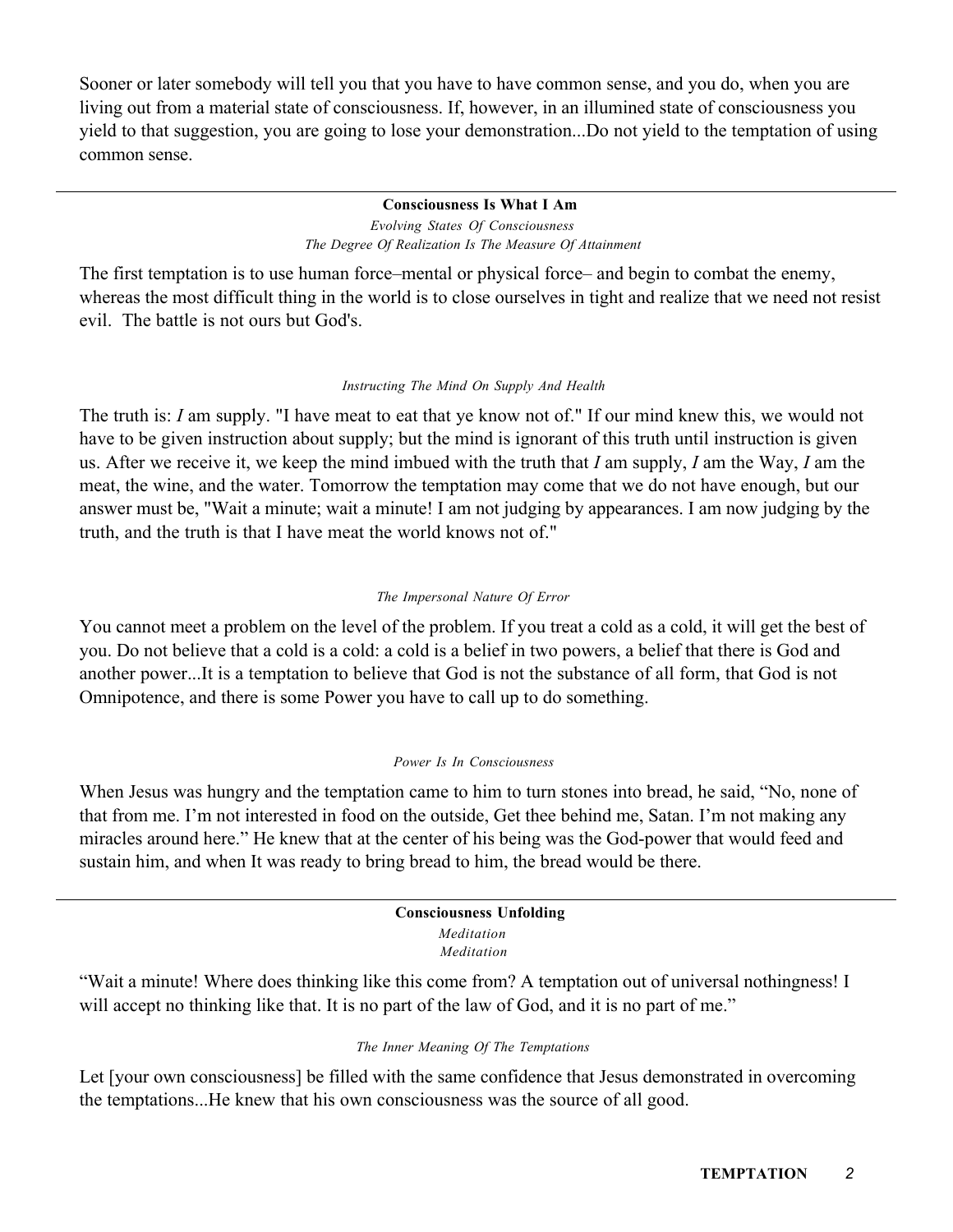Sooner or later somebody will tell you that you have to have common sense, and you do, when you are living out from a material state of consciousness. If, however, in an illumined state of consciousness you yield to that suggestion, you are going to lose your demonstration...Do not yield to the temptation of using common sense.

### Consciousness Is What I Am *Evolving States Of Consciousness The Degree Of Realization Is The Measure Of Attainment*

The first temptation is to use human force–mental or physical force– and begin to combat the enemy, whereas the most difficult thing in the world is to close ourselves in tight and realize that we need not resist evil. The battle is not ours but God's.

# *Instructing The Mind On Supply And Health*

The truth is: *I* am supply. "I have meat to eat that ye know not of." If our mind knew this, we would not have to be given instruction about supply; but the mind is ignorant of this truth until instruction is given us. After we receive it, we keep the mind imbued with the truth that *I* am supply, *I* am the Way, *I* am the meat, the wine, and the water. Tomorrow the temptation may come that we do not have enough, but our answer must be, "Wait a minute; wait a minute! I am not judging by appearances. I am now judging by the truth, and the truth is that I have meat the world knows not of."

# *The Impersonal Nature Of Error*

You cannot meet a problem on the level of the problem. If you treat a cold as a cold, it will get the best of you. Do not believe that a cold is a cold: a cold is a belief in two powers, a belief that there is God and another power...It is a temptation to believe that God is not the substance of all form, that God is not Omnipotence, and there is some Power you have to call up to do something.

# *Power Is In Consciousness*

When Jesus was hungry and the temptation came to him to turn stones into bread, he said, "No, none of that from me. I'm not interested in food on the outside, Get thee behind me, Satan. I'm not making any miracles around here." He knew that at the center of his being was the God-power that would feed and sustain him, and when It was ready to bring bread to him, the bread would be there.

#### Consciousness Unfolding *Meditation Meditation*

"Wait a minute! Where does thinking like this come from? A temptation out of universal nothingness! I will accept no thinking like that. It is no part of the law of God, and it is no part of me."

# *The Inner Meaning Of The Temptations*

Let [your own consciousness] be filled with the same confidence that Jesus demonstrated in overcoming the temptations...He knew that his own consciousness was the source of all good.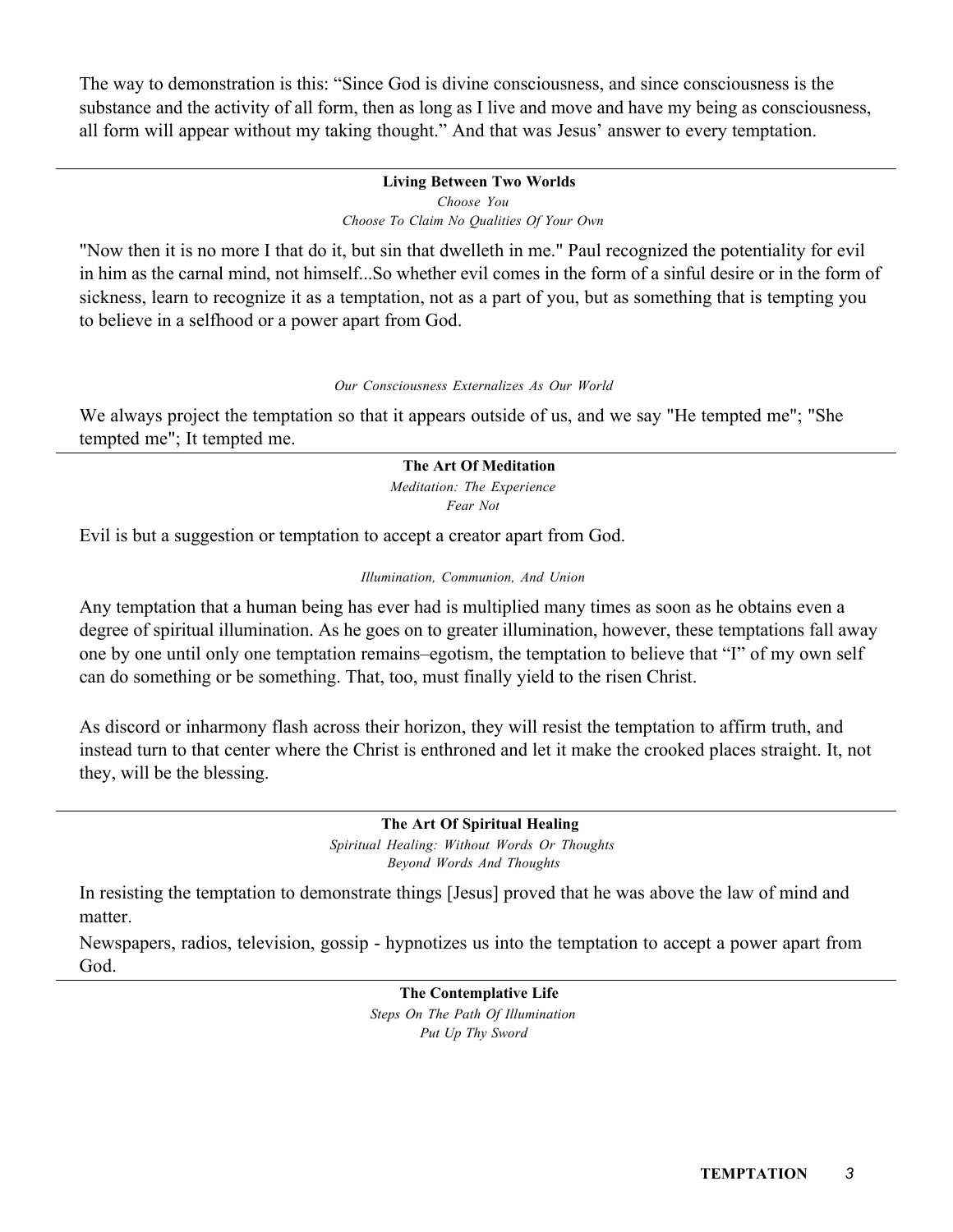The way to demonstration is this: "Since God is divine consciousness, and since consciousness is the substance and the activity of all form, then as long as I live and move and have my being as consciousness, all form will appear without my taking thought." And that was Jesus' answer to every temptation.

# Living Between Two Worlds *Choose You Choose To Claim No Qualities Of Your Own*

"Now then it is no more I that do it, but sin that dwelleth in me." Paul recognized the potentiality for evil in him as the carnal mind, not himself...So whether evil comes in the form of a sinful desire or in the form of sickness, learn to recognize it as a temptation, not as a part of you, but as something that is tempting you to believe in a selfhood or a power apart from God.

### *Our Consciousness Externalizes As Our World*

We always project the temptation so that it appears outside of us, and we say "He tempted me"; "She tempted me"; It tempted me.

# The Art Of Meditation

*Meditation: The Experience Fear Not*

Evil is but a suggestion or temptation to accept a creator apart from God.

### *Illumination, Communion, And Union*

Any temptation that a human being has ever had is multiplied many times as soon as he obtains even a degree of spiritual illumination. As he goes on to greater illumination, however, these temptations fall away one by one until only one temptation remains–egotism, the temptation to believe that "I" of my own self can do something or be something. That, too, must finally yield to the risen Christ.

As discord or inharmony flash across their horizon, they will resist the temptation to affirm truth, and instead turn to that center where the Christ is enthroned and let it make the crooked places straight. It, not they, will be the blessing.

> The Art Of Spiritual Healing *Spiritual Healing: Without Words Or Thoughts Beyond Words And Thoughts*

In resisting the temptation to demonstrate things [Jesus] proved that he was above the law of mind and matter.

Newspapers, radios, television, gossip - hypnotizes us into the temptation to accept a power apart from God.

> The Contemplative Life *Steps On The Path Of Illumination Put Up Thy Sword*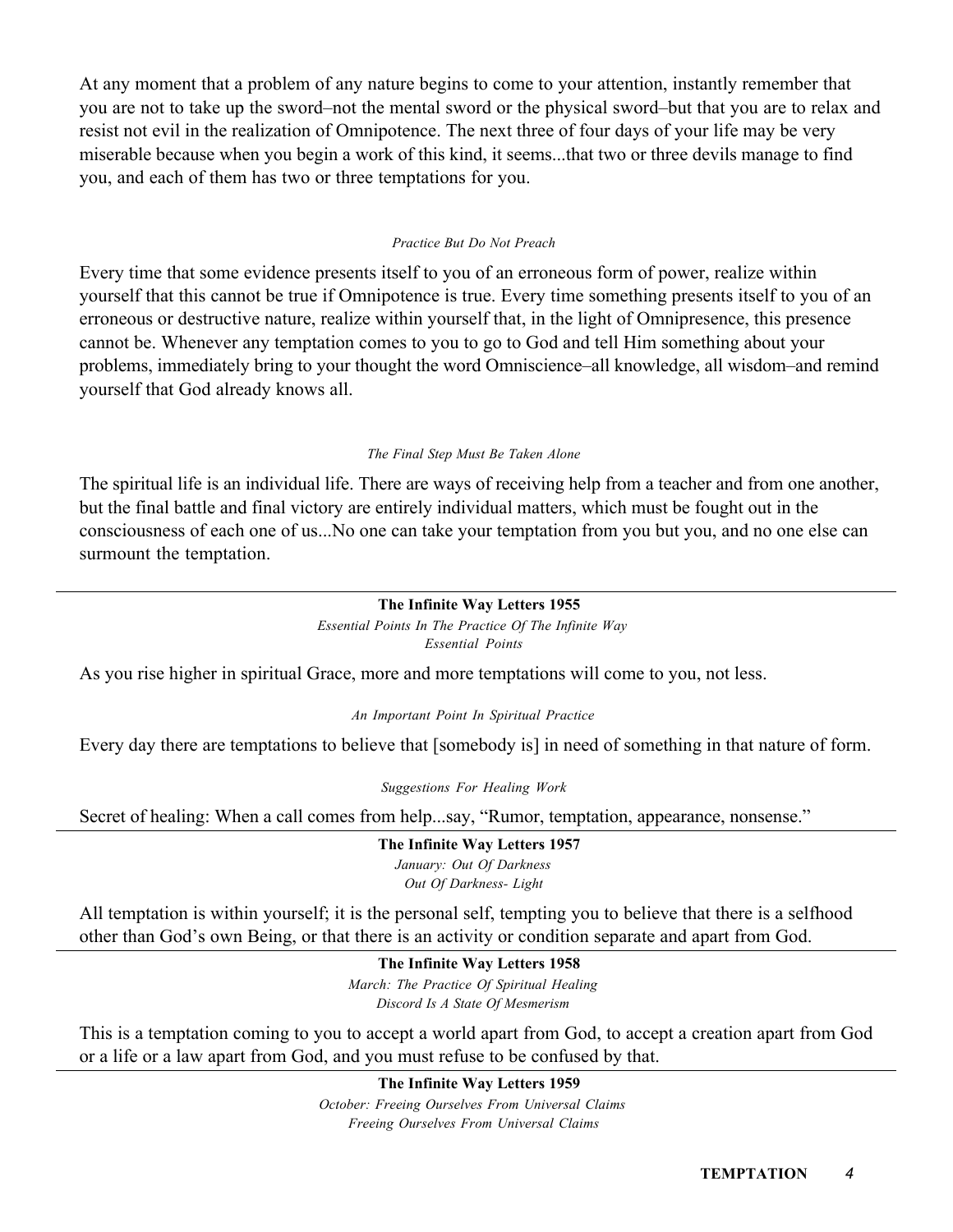At any moment that a problem of any nature begins to come to your attention, instantly remember that you are not to take up the sword–not the mental sword or the physical sword–but that you are to relax and resist not evil in the realization of Omnipotence. The next three of four days of your life may be very miserable because when you begin a work of this kind, it seems...that two or three devils manage to find you, and each of them has two or three temptations for you.

### *Practice But Do Not Preach*

Every time that some evidence presents itself to you of an erroneous form of power, realize within yourself that this cannot be true if Omnipotence is true. Every time something presents itself to you of an erroneous or destructive nature, realize within yourself that, in the light of Omnipresence, this presence cannot be. Whenever any temptation comes to you to go to God and tell Him something about your problems, immediately bring to your thought the word Omniscience–all knowledge, all wisdom–and remind yourself that God already knows all.

### *The Final Step Must Be Taken Alone*

The spiritual life is an individual life. There are ways of receiving help from a teacher and from one another, but the final battle and final victory are entirely individual matters, which must be fought out in the consciousness of each one of us...No one can take your temptation from you but you, and no one else can surmount the temptation.

### The Infinite Way Letters 1955

*Essential Points In The Practice Of The Infinite Way Essential Points*

As you rise higher in spiritual Grace, more and more temptations will come to you, not less.

*An Important Point In Spiritual Practice*

Every day there are temptations to believe that [somebody is] in need of something in that nature of form.

*Suggestions For Healing Work*

Secret of healing: When a call comes from help...say, "Rumor, temptation, appearance, nonsense."

The Infinite Way Letters 1957 *January: Out Of Darkness Out Of Darkness- Light*

All temptation is within yourself; it is the personal self, tempting you to believe that there is a selfhood other than God's own Being, or that there is an activity or condition separate and apart from God.

> The Infinite Way Letters 1958 *March: The Practice Of Spiritual Healing Discord Is A State Of Mesmerism*

This is a temptation coming to you to accept a world apart from God, to accept a creation apart from God or a life or a law apart from God, and you must refuse to be confused by that.

> The Infinite Way Letters 1959 *October: Freeing Ourselves From Universal Claims Freeing Ourselves From Universal Claims*